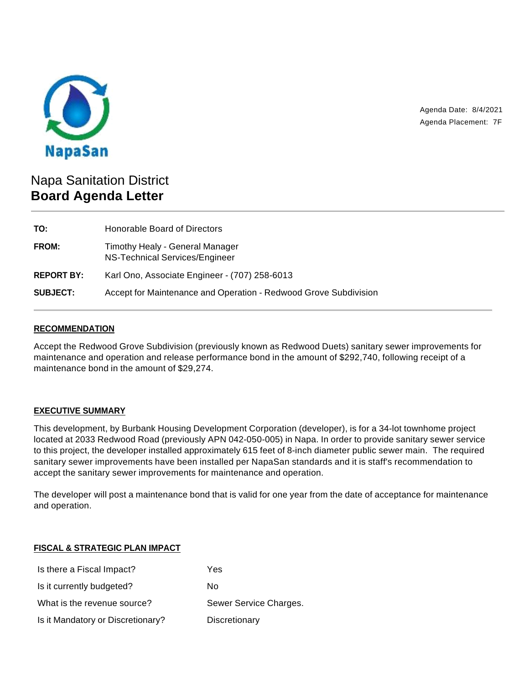

Agenda Date: 8/4/2021 Agenda Placement: 7F

# Napa Sanitation District **Board Agenda Letter**

| TO:               | Honorable Board of Directors                                      |
|-------------------|-------------------------------------------------------------------|
| <b>FROM:</b>      | Timothy Healy - General Manager<br>NS-Technical Services/Engineer |
| <b>REPORT BY:</b> | Karl Ono, Associate Engineer - (707) 258-6013                     |
| <b>SUBJECT:</b>   | Accept for Maintenance and Operation - Redwood Grove Subdivision  |

### **RECOMMENDATION**

Accept the Redwood Grove Subdivision (previously known as Redwood Duets) sanitary sewer improvements for maintenance and operation and release performance bond in the amount of \$292,740, following receipt of a maintenance bond in the amount of \$29,274.

# **EXECUTIVE SUMMARY**

This development, by Burbank Housing Development Corporation (developer), is for a 34-lot townhome project located at 2033 Redwood Road (previously APN 042-050-005) in Napa. In order to provide sanitary sewer service to this project, the developer installed approximately 615 feet of 8-inch diameter public sewer main. The required sanitary sewer improvements have been installed per NapaSan standards and it is staff's recommendation to accept the sanitary sewer improvements for maintenance and operation.

The developer will post a maintenance bond that is valid for one year from the date of acceptance for maintenance and operation.

#### **FISCAL & STRATEGIC PLAN IMPACT**

| Is there a Fiscal Impact?         | Yes                    |
|-----------------------------------|------------------------|
| Is it currently budgeted?         | Nο                     |
| What is the revenue source?       | Sewer Service Charges. |
| Is it Mandatory or Discretionary? | Discretionary          |